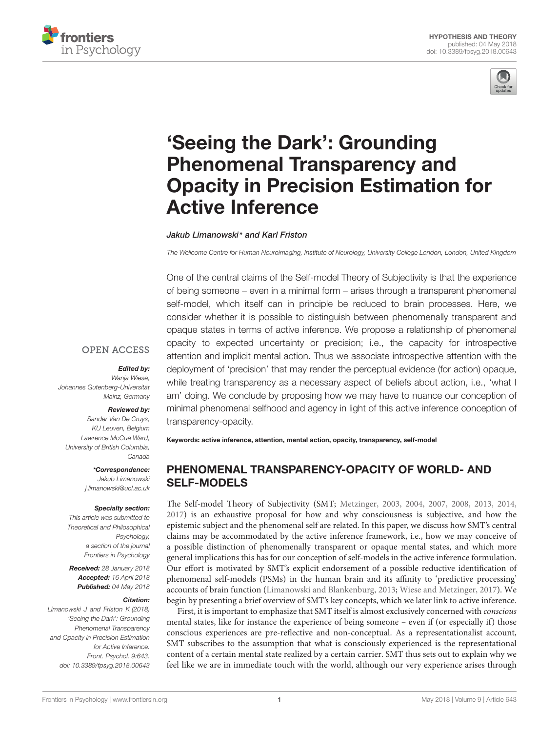



# 'Seeing the Dark': Grounding Phenomenal Transparency and [Opacity in Precision Estimation for](https://www.frontiersin.org/articles/10.3389/fpsyg.2018.00643/full) Active Inference

[Jakub Limanowski](http://loop.frontiersin.org/people/74619/overview)\* and [Karl Friston](http://loop.frontiersin.org/people/20407/overview)

The Wellcome Centre for Human Neuroimaging, Institute of Neurology, University College London, London, United Kingdom

One of the central claims of the Self-model Theory of Subjectivity is that the experience of being someone – even in a minimal form – arises through a transparent phenomenal self-model, which itself can in principle be reduced to brain processes. Here, we consider whether it is possible to distinguish between phenomenally transparent and opaque states in terms of active inference. We propose a relationship of phenomenal opacity to expected uncertainty or precision; i.e., the capacity for introspective attention and implicit mental action. Thus we associate introspective attention with the deployment of 'precision' that may render the perceptual evidence (for action) opaque, while treating transparency as a necessary aspect of beliefs about action, i.e., 'what I am' doing. We conclude by proposing how we may have to nuance our conception of minimal phenomenal selfhood and agency in light of this active inference conception of transparency-opacity.

#### **OPEN ACCESS**

#### Edited by:

Wanja Wiese, Johannes Gutenberg-Universität Mainz, Germany

#### Reviewed by:

Sander Van De Cruys, KU Leuven, Belgium Lawrence McCue Ward, University of British Columbia, Canada

> \*Correspondence: Jakub Limanowski j.limanowski@ucl.ac.uk

#### Specialty section:

This article was submitted to Theoretical and Philosophical Psychology, a section of the journal Frontiers in Psychology

Received: 28 January 2018 Accepted: 16 April 2018 Published: 04 May 2018

#### Citation:

Limanowski J and Friston K (2018) 'Seeing the Dark': Grounding Phenomenal Transparency and Opacity in Precision Estimation for Active Inference. Front. Psychol. 9:643. doi: [10.3389/fpsyg.2018.00643](https://doi.org/10.3389/fpsyg.2018.00643)

Keywords: active inference, attention, mental action, opacity, transparency, self-model

## PHENOMENAL TRANSPARENCY-OPACITY OF WORLD- AND SELF-MODELS

The Self-model Theory of Subjectivity (SMT; [Metzinger,](#page-7-0) [2003,](#page-7-0) [2004,](#page-7-1) [2007,](#page-7-2) [2008,](#page-7-3) [2013,](#page-7-4) [2014,](#page-7-5) [2017\)](#page-7-6) is an exhaustive proposal for how and why consciousness is subjective, and how the epistemic subject and the phenomenal self are related. In this paper, we discuss how SMT's central claims may be accommodated by the active inference framework, i.e., how we may conceive of a possible distinction of phenomenally transparent or opaque mental states, and which more general implications this has for our conception of self-models in the active inference formulation. Our effort is motivated by SMT's explicit endorsement of a possible reductive identification of phenomenal self-models (PSMs) in the human brain and its affinity to 'predictive processing' accounts of brain function [\(Limanowski and Blankenburg,](#page-7-7) [2013;](#page-7-7) [Wiese and Metzinger,](#page-8-0) [2017\)](#page-8-0). We begin by presenting a brief overview of SMT's key concepts, which we later link to active inference.

First, it is important to emphasize that SMT itself is almost exclusively concerned with conscious mental states, like for instance the experience of being someone – even if (or especially if) those conscious experiences are pre-reflective and non-conceptual. As a representationalist account, SMT subscribes to the assumption that what is consciously experienced is the representational content of a certain mental state realized by a certain carrier. SMT thus sets out to explain why we feel like we are in immediate touch with the world, although our very experience arises through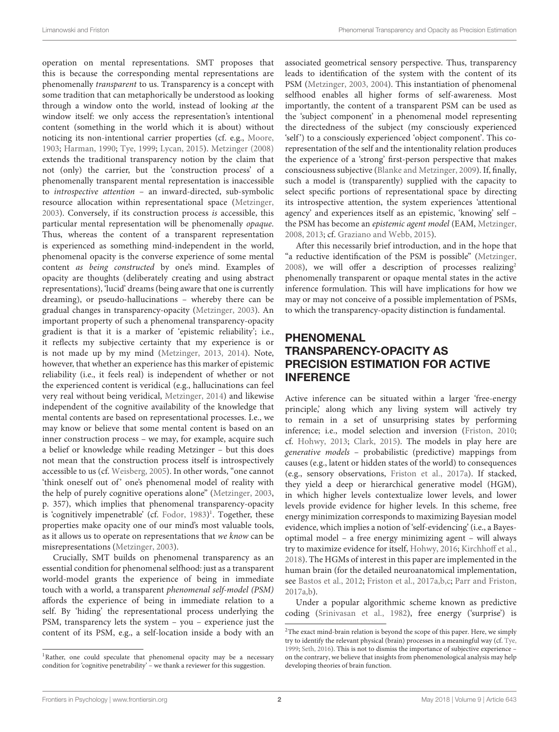operation on mental representations. SMT proposes that this is because the corresponding mental representations are phenomenally transparent to us. Transparency is a concept with some tradition that can metaphorically be understood as looking through a window onto the world, instead of looking at the window itself: we only access the representation's intentional content (something in the world which it is about) without noticing its non-intentional carrier properties (cf. e.g., [Moore,](#page-7-8) [1903;](#page-7-8) [Harman,](#page-7-9) [1990;](#page-7-9) [Tye,](#page-7-10) [1999;](#page-7-10) [Lycan,](#page-7-11) [2015\)](#page-7-11). [Metzinger](#page-7-3) [\(2008\)](#page-7-3) extends the traditional transparency notion by the claim that not (only) the carrier, but the 'construction process' of a phenomenally transparent mental representation is inaccessible to introspective attention – an inward-directed, sub-symbolic resource allocation within representational space [\(Metzinger,](#page-7-0) [2003\)](#page-7-0). Conversely, if its construction process is accessible, this particular mental representation will be phenomenally opaque. Thus, whereas the content of a transparent representation is experienced as something mind-independent in the world, phenomenal opacity is the converse experience of some mental content as being constructed by one's mind. Examples of opacity are thoughts (deliberately creating and using abstract representations), 'lucid' dreams (being aware that one is currently dreaming), or pseudo-hallucinations – whereby there can be gradual changes in transparency-opacity [\(Metzinger,](#page-7-0) [2003\)](#page-7-0). An important property of such a phenomenal transparency-opacity gradient is that it is a marker of 'epistemic reliability'; i.e., it reflects my subjective certainty that my experience is or is not made up by my mind [\(Metzinger,](#page-7-4) [2013,](#page-7-4) [2014\)](#page-7-5). Note, however, that whether an experience has this marker of epistemic reliability (i.e., it feels real) is independent of whether or not the experienced content is veridical (e.g., hallucinations can feel very real without being veridical, [Metzinger,](#page-7-5) [2014\)](#page-7-5) and likewise independent of the cognitive availability of the knowledge that mental contents are based on representational processes. I.e., we may know or believe that some mental content is based on an inner construction process – we may, for example, acquire such a belief or knowledge while reading Metzinger – but this does not mean that the construction process itself is introspectively accessible to us (cf. [Weisberg,](#page-8-1) [2005\)](#page-8-1). In other words, "one cannot 'think oneself out of' one's phenomenal model of reality with the help of purely cognitive operations alone" [\(Metzinger,](#page-7-0) [2003,](#page-7-0) p. 357), which implies that phenomenal transparency-opacity is 'cognitively impenetrable' (cf. [Fodor,](#page-6-0) [1983\)](#page-6-0) [1](#page-1-0) . Together, these properties make opacity one of our mind's most valuable tools, as it allows us to operate on representations that we know can be misrepresentations [\(Metzinger,](#page-7-0) [2003\)](#page-7-0).

Crucially, SMT builds on phenomenal transparency as an essential condition for phenomenal selfhood: just as a transparent world-model grants the experience of being in immediate touch with a world, a transparent phenomenal self-model (PSM) affords the experience of being in immediate relation to a self. By 'hiding' the representational process underlying the PSM, transparency lets the system – you – experience just the content of its PSM, e.g., a self-location inside a body with an associated geometrical sensory perspective. Thus, transparency leads to identification of the system with the content of its PSM [\(Metzinger,](#page-7-0) [2003,](#page-7-0) [2004\)](#page-7-1). This instantiation of phenomenal selfhood enables all higher forms of self-awareness. Most importantly, the content of a transparent PSM can be used as the 'subject component' in a phenomenal model representing the directedness of the subject (my consciously experienced 'self') to a consciously experienced 'object component'. This corepresentation of the self and the intentionality relation produces the experience of a 'strong' first-person perspective that makes consciousness subjective [\(Blanke and Metzinger,](#page-6-1) [2009\)](#page-6-1). If, finally, such a model is (transparently) supplied with the capacity to select specific portions of representational space by directing its introspective attention, the system experiences 'attentional agency' and experiences itself as an epistemic, 'knowing' self – the PSM has become an epistemic agent model (EAM, [Metzinger,](#page-7-3) [2008,](#page-7-3) [2013;](#page-7-4) cf. [Graziano and Webb,](#page-7-12) [2015\)](#page-7-12).

After this necessarily brief introduction, and in the hope that "a reductive identification of the PSM is possible" [\(Metzinger,](#page-7-3) [2008\)](#page-7-3), we will offer a description of processes realizing<sup>[2](#page-1-1)</sup> phenomenally transparent or opaque mental states in the active inference formulation. This will have implications for how we may or may not conceive of a possible implementation of PSMs, to which the transparency-opacity distinction is fundamental.

## PHENOMENAL TRANSPARENCY-OPACITY AS PRECISION ESTIMATION FOR ACTIVE INFERENCE

Active inference can be situated within a larger 'free-energy principle,' along which any living system will actively try to remain in a set of unsurprising states by performing inference; i.e., model selection and inversion [\(Friston,](#page-6-2) [2010;](#page-6-2) cf. [Hohwy,](#page-7-13) [2013;](#page-7-13) [Clark,](#page-6-3) [2015\)](#page-6-3). The models in play here are generative models – probabilistic (predictive) mappings from causes (e.g., latent or hidden states of the world) to consequences (e.g., sensory observations, [Friston et al.,](#page-6-4) [2017a\)](#page-6-4). If stacked, they yield a deep or hierarchical generative model (HGM), in which higher levels contextualize lower levels, and lower levels provide evidence for higher levels. In this scheme, free energy minimization corresponds to maximizing Bayesian model evidence, which implies a notion of 'self-evidencing' (i.e., a Bayesoptimal model – a free energy minimizing agent – will always try to maximize evidence for itself, [Hohwy,](#page-7-14) [2016;](#page-7-14) [Kirchhoff et al.,](#page-7-15) [2018\)](#page-7-15). The HGMs of interest in this paper are implemented in the human brain (for the detailed neuroanatomical implementation, see [Bastos et al.,](#page-6-5) [2012;](#page-6-5) [Friston et al.,](#page-6-4) [2017a,](#page-6-4)[b,](#page-7-16)[c;](#page-7-17) [Parr and Friston,](#page-7-18) [2017a](#page-7-18)[,b\)](#page-7-19).

Under a popular algorithmic scheme known as predictive coding [\(Srinivasan et al.,](#page-7-20) [1982\)](#page-7-20), free energy ('surprise') is

<span id="page-1-0"></span><sup>&</sup>lt;sup>1</sup>Rather, one could speculate that phenomenal opacity may be a necessary condition for 'cognitive penetrability' – we thank a reviewer for this suggestion.

<span id="page-1-1"></span> $2$ The exact mind-brain relation is beyond the scope of this paper. Here, we simply try to identify the relevant physical (brain) processes in a meaningful way (cf. [Tye,](#page-7-10) [1999;](#page-7-10) [Seth,](#page-7-21) [2016\)](#page-7-21). This is not to dismiss the importance of subjective experience – on the contrary, we believe that insights from phenomenological analysis may help developing theories of brain function.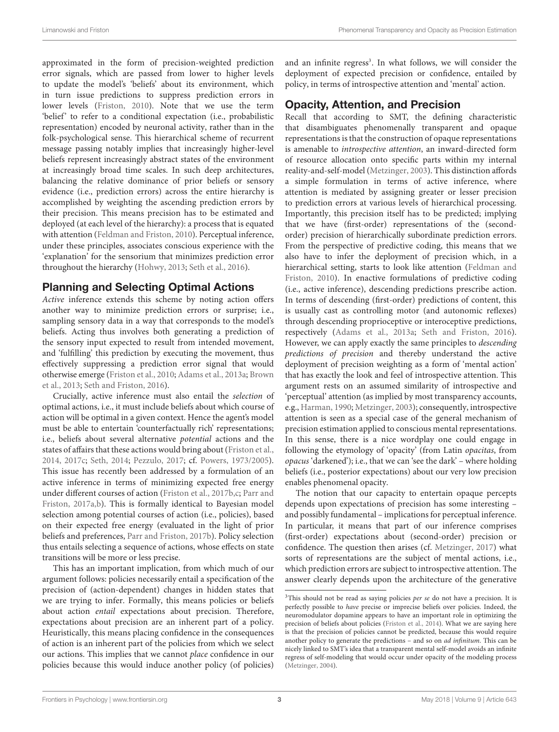approximated in the form of precision-weighted prediction error signals, which are passed from lower to higher levels to update the model's 'beliefs' about its environment, which in turn issue predictions to suppress prediction errors in lower levels [\(Friston,](#page-6-2) [2010\)](#page-6-2). Note that we use the term 'belief' to refer to a conditional expectation (i.e., probabilistic representation) encoded by neuronal activity, rather than in the folk-psychological sense. This hierarchical scheme of recurrent message passing notably implies that increasingly higher-level beliefs represent increasingly abstract states of the environment at increasingly broad time scales. In such deep architectures, balancing the relative dominance of prior beliefs or sensory evidence (i.e., prediction errors) across the entire hierarchy is accomplished by weighting the ascending prediction errors by their precision. This means precision has to be estimated and deployed (at each level of the hierarchy): a process that is equated with attention [\(Feldman and Friston,](#page-6-6) [2010\)](#page-6-6). Perceptual inference, under these principles, associates conscious experience with the 'explanation' for the sensorium that minimizes prediction error throughout the hierarchy [\(Hohwy,](#page-7-13) [2013;](#page-7-13) [Seth et al.,](#page-7-22) [2016\)](#page-7-22).

### Planning and Selecting Optimal Actions

Active inference extends this scheme by noting action offers another way to minimize prediction errors or surprise; i.e., sampling sensory data in a way that corresponds to the model's beliefs. Acting thus involves both generating a prediction of the sensory input expected to result from intended movement, and 'fulfilling' this prediction by executing the movement, thus effectively suppressing a prediction error signal that would otherwise emerge [\(Friston et al.,](#page-6-7) [2010;](#page-6-7) [Adams et al.,](#page-6-8) [2013a;](#page-6-8) [Brown](#page-6-9) [et al.,](#page-6-9) [2013;](#page-6-9) [Seth and Friston,](#page-7-23) [2016\)](#page-7-23).

Crucially, active inference must also entail the selection of optimal actions, i.e., it must include beliefs about which course of action will be optimal in a given context. Hence the agent's model must be able to entertain 'counterfactually rich' representations; i.e., beliefs about several alternative potential actions and the states of affairs that these actions would bring about [\(Friston et al.,](#page-6-10) [2014,](#page-6-10) [2017c;](#page-7-17) [Seth,](#page-7-24) [2014;](#page-7-24) [Pezzulo,](#page-7-25) [2017;](#page-7-25) cf. [Powers,](#page-7-26) [1973/2005\)](#page-7-26). This issue has recently been addressed by a formulation of an active inference in terms of minimizing expected free energy under different courses of action [\(Friston et al.,](#page-7-16) [2017b](#page-7-16)[,c;](#page-7-17) [Parr and](#page-7-18) [Friston,](#page-7-18) [2017a,](#page-7-18)[b\)](#page-7-19). This is formally identical to Bayesian model selection among potential courses of action (i.e., policies), based on their expected free energy (evaluated in the light of prior beliefs and preferences, [Parr and Friston,](#page-7-19) [2017b\)](#page-7-19). Policy selection thus entails selecting a sequence of actions, whose effects on state transitions will be more or less precise.

This has an important implication, from which much of our argument follows: policies necessarily entail a specification of the precision of (action-dependent) changes in hidden states that we are trying to infer. Formally, this means policies or beliefs about action entail expectations about precision. Therefore, expectations about precision are an inherent part of a policy. Heuristically, this means placing confidence in the consequences of action is an inherent part of the policies from which we select our actions. This implies that we cannot place confidence in our policies because this would induce another policy (of policies)

and an infinite regress<sup>[3](#page-2-0)</sup>. In what follows, we will consider the deployment of expected precision or confidence, entailed by policy, in terms of introspective attention and 'mental' action.

# Opacity, Attention, and Precision

Recall that according to SMT, the defining characteristic that disambiguates phenomenally transparent and opaque representations is that the construction of opaque representations is amenable to introspective attention, an inward-directed form of resource allocation onto specific parts within my internal reality-and-self-model [\(Metzinger,](#page-7-0) [2003\)](#page-7-0). This distinction affords a simple formulation in terms of active inference, where attention is mediated by assigning greater or lesser precision to prediction errors at various levels of hierarchical processing. Importantly, this precision itself has to be predicted; implying that we have (first-order) representations of the (secondorder) precision of hierarchically subordinate prediction errors. From the perspective of predictive coding, this means that we also have to infer the deployment of precision which, in a hierarchical setting, starts to look like attention [\(Feldman and](#page-6-6) [Friston,](#page-6-6) [2010\)](#page-6-6). In enactive formulations of predictive coding (i.e., active inference), descending predictions prescribe action. In terms of descending (first-order) predictions of content, this is usually cast as controlling motor (and autonomic reflexes) through descending proprioceptive or interoceptive predictions, respectively [\(Adams et al.,](#page-6-8) [2013a;](#page-6-8) [Seth and Friston,](#page-7-23) [2016\)](#page-7-23). However, we can apply exactly the same principles to descending predictions of precision and thereby understand the active deployment of precision weighting as a form of 'mental action' that has exactly the look and feel of introspective attention. This argument rests on an assumed similarity of introspective and 'perceptual' attention (as implied by most transparency accounts, e.g., [Harman,](#page-7-9) [1990;](#page-7-9) [Metzinger,](#page-7-0) [2003\)](#page-7-0); consequently, introspective attention is seen as a special case of the general mechanism of precision estimation applied to conscious mental representations. In this sense, there is a nice wordplay one could engage in following the etymology of 'opacity' (from Latin opacitas, from opacus 'darkened'); i.e., that we can 'see the dark' – where holding beliefs (i.e., posterior expectations) about our very low precision enables phenomenal opacity.

The notion that our capacity to entertain opaque percepts depends upon expectations of precision has some interesting – and possibly fundamental – implications for perceptual inference. In particular, it means that part of our inference comprises (first-order) expectations about (second-order) precision or confidence. The question then arises (cf. [Metzinger,](#page-7-6) [2017\)](#page-7-6) what sorts of representations are the subject of mental actions, i.e., which prediction errors are subject to introspective attention. The answer clearly depends upon the architecture of the generative

<span id="page-2-0"></span> $3$ This should not be read as saying policies per se do not have a precision. It is perfectly possible to have precise or imprecise beliefs over policies. Indeed, the neuromodulator dopamine appears to have an important role in optimizing the precision of beliefs about policies [\(Friston et al.,](#page-6-10) [2014\)](#page-6-10). What we are saying here is that the precision of policies cannot be predicted, because this would require another policy to generate the predictions – and so on ad infinitum. This can be nicely linked to SMT's idea that a transparent mental self-model avoids an infinite regress of self-modeling that would occur under opacity of the modeling process [\(Metzinger,](#page-7-1) [2004\)](#page-7-1).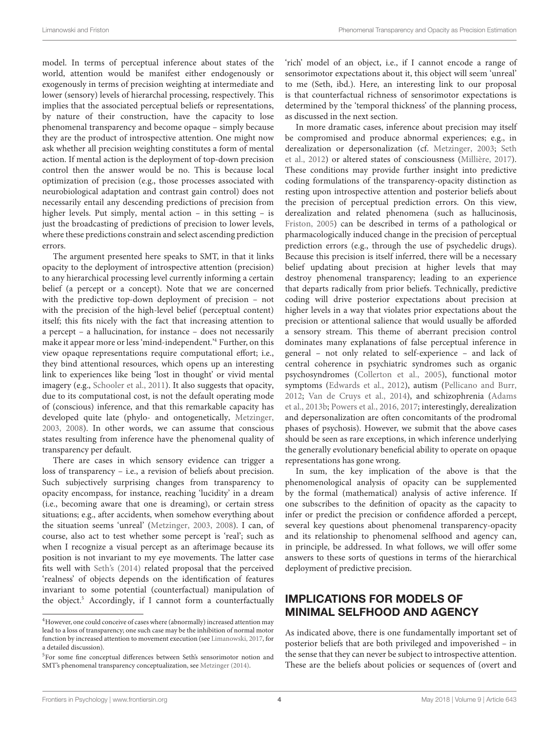model. In terms of perceptual inference about states of the world, attention would be manifest either endogenously or exogenously in terms of precision weighting at intermediate and lower (sensory) levels of hierarchal processing, respectively. This implies that the associated perceptual beliefs or representations, by nature of their construction, have the capacity to lose phenomenal transparency and become opaque – simply because they are the product of introspective attention. One might now ask whether all precision weighting constitutes a form of mental action. If mental action is the deployment of top-down precision control then the answer would be no. This is because local optimization of precision (e.g., those processes associated with neurobiological adaptation and contrast gain control) does not necessarily entail any descending predictions of precision from higher levels. Put simply, mental action – in this setting – is just the broadcasting of predictions of precision to lower levels, where these predictions constrain and select ascending prediction errors.

The argument presented here speaks to SMT, in that it links opacity to the deployment of introspective attention (precision) to any hierarchical processing level currently informing a certain belief (a percept or a concept). Note that we are concerned with the predictive top-down deployment of precision – not with the precision of the high-level belief (perceptual content) itself; this fits nicely with the fact that increasing attention to a percept – a hallucination, for instance – does not necessarily make it appear more or less 'mind-independent.'[4](#page-3-0) Further, on this view opaque representations require computational effort; i.e., they bind attentional resources, which opens up an interesting link to experiences like being 'lost in thought' or vivid mental imagery (e.g., [Schooler et al.,](#page-7-27) [2011\)](#page-7-27). It also suggests that opacity, due to its computational cost, is not the default operating mode of (conscious) inference, and that this remarkable capacity has developed quite late (phylo- and ontogenetically, [Metzinger,](#page-7-0) [2003,](#page-7-0) [2008\)](#page-7-3). In other words, we can assume that conscious states resulting from inference have the phenomenal quality of transparency per default.

There are cases in which sensory evidence can trigger a loss of transparency – i.e., a revision of beliefs about precision. Such subjectively surprising changes from transparency to opacity encompass, for instance, reaching 'lucidity' in a dream (i.e., becoming aware that one is dreaming), or certain stress situations; e.g., after accidents, when somehow everything about the situation seems 'unreal' [\(Metzinger,](#page-7-0) [2003,](#page-7-0) [2008\)](#page-7-3). I can, of course, also act to test whether some percept is 'real'; such as when I recognize a visual percept as an afterimage because its position is not invariant to my eye movements. The latter case fits well with [Seth's](#page-7-24) [\(2014\)](#page-7-24) related proposal that the perceived 'realness' of objects depends on the identification of features invariant to some potential (counterfactual) manipulation of the object.<sup>[5](#page-3-1)</sup> Accordingly, if I cannot form a counterfactually

'rich' model of an object, i.e., if I cannot encode a range of sensorimotor expectations about it, this object will seem 'unreal' to me (Seth, ibd.). Here, an interesting link to our proposal is that counterfactual richness of sensorimotor expectations is determined by the 'temporal thickness' of the planning process, as discussed in the next section.

In more dramatic cases, inference about precision may itself be compromised and produce abnormal experiences; e.g., in derealization or depersonalization (cf. [Metzinger,](#page-7-0) [2003;](#page-7-0) [Seth](#page-7-29) [et al.,](#page-7-29) [2012\)](#page-7-29) or altered states of consciousness [\(Millière,](#page-7-30) [2017\)](#page-7-30). These conditions may provide further insight into predictive coding formulations of the transparency-opacity distinction as resting upon introspective attention and posterior beliefs about the precision of perceptual prediction errors. On this view, derealization and related phenomena (such as hallucinosis, [Friston,](#page-6-11) [2005\)](#page-6-11) can be described in terms of a pathological or pharmacologically induced change in the precision of perceptual prediction errors (e.g., through the use of psychedelic drugs). Because this precision is itself inferred, there will be a necessary belief updating about precision at higher levels that may destroy phenomenal transparency; leading to an experience that departs radically from prior beliefs. Technically, predictive coding will drive posterior expectations about precision at higher levels in a way that violates prior expectations about the precision or attentional salience that would usually be afforded a sensory stream. This theme of aberrant precision control dominates many explanations of false perceptual inference in general – not only related to self-experience – and lack of central coherence in psychiatric syndromes such as organic psychosyndromes [\(Collerton et al.,](#page-6-12) [2005\)](#page-6-12), functional motor symptoms [\(Edwards et al.,](#page-6-13) [2012\)](#page-6-13), autism [\(Pellicano and Burr,](#page-7-31) [2012;](#page-7-31) [Van de Cruys et al.,](#page-7-32) [2014\)](#page-7-32), and schizophrenia [\(Adams](#page-6-14) [et al.,](#page-6-14) [2013b;](#page-6-14) [Powers et al.,](#page-7-33) [2016,](#page-7-33) [2017;](#page-7-34) interestingly, derealization and depersonalization are often concomitants of the prodromal phases of psychosis). However, we submit that the above cases should be seen as rare exceptions, in which inference underlying the generally evolutionary beneficial ability to operate on opaque representations has gone wrong.

In sum, the key implication of the above is that the phenomenological analysis of opacity can be supplemented by the formal (mathematical) analysis of active inference. If one subscribes to the definition of opacity as the capacity to infer or predict the precision or confidence afforded a percept, several key questions about phenomenal transparency-opacity and its relationship to phenomenal selfhood and agency can, in principle, be addressed. In what follows, we will offer some answers to these sorts of questions in terms of the hierarchical deployment of predictive precision.

# IMPLICATIONS FOR MODELS OF MINIMAL SELFHOOD AND AGENCY

As indicated above, there is one fundamentally important set of posterior beliefs that are both privileged and impoverished – in the sense that they can never be subject to introspective attention. These are the beliefs about policies or sequences of (overt and

<span id="page-3-0"></span><sup>&</sup>lt;sup>4</sup>However, one could conceive of cases where (abnormally) increased attention may lead to a loss of transparency; one such case may be the inhibition of normal motor function by increased attention to movement execution (see [Limanowski,](#page-7-28) [2017,](#page-7-28) for a detailed discussion).

<span id="page-3-1"></span><sup>5</sup>For some fine conceptual differences between Seth's sensorimotor notion and SMT's phenomenal transparency conceptualization, see [Metzinger](#page-7-5) [\(2014\)](#page-7-5).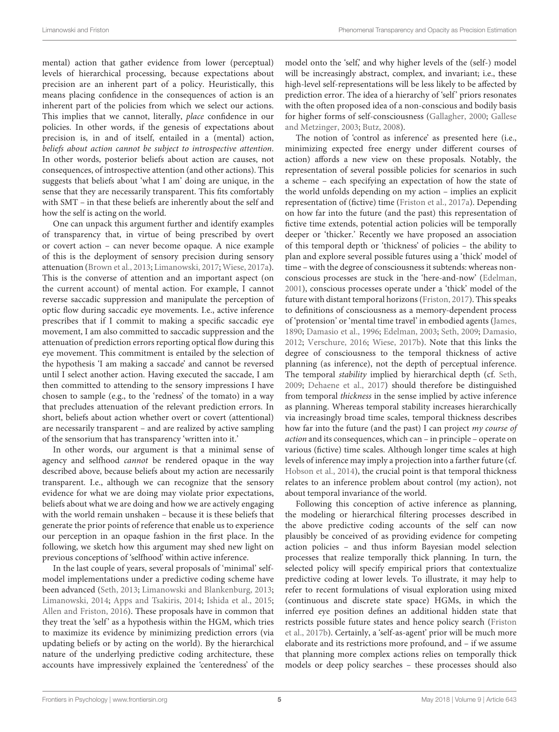mental) action that gather evidence from lower (perceptual) levels of hierarchical processing, because expectations about precision are an inherent part of a policy. Heuristically, this means placing confidence in the consequences of action is an inherent part of the policies from which we select our actions. This implies that we cannot, literally, place confidence in our policies. In other words, if the genesis of expectations about precision is, in and of itself, entailed in a (mental) action, beliefs about action cannot be subject to introspective attention. In other words, posterior beliefs about action are causes, not consequences, of introspective attention (and other actions). This suggests that beliefs about 'what I am' doing are unique, in the sense that they are necessarily transparent. This fits comfortably with SMT – in that these beliefs are inherently about the self and how the self is acting on the world.

One can unpack this argument further and identify examples of transparency that, in virtue of being prescribed by overt or covert action – can never become opaque. A nice example of this is the deployment of sensory precision during sensory attenuation [\(Brown et al.,](#page-6-9) [2013;](#page-6-9) [Limanowski,](#page-7-28) [2017;](#page-7-28) [Wiese,](#page-8-2) [2017a\)](#page-8-2). This is the converse of attention and an important aspect (on the current account) of mental action. For example, I cannot reverse saccadic suppression and manipulate the perception of optic flow during saccadic eye movements. I.e., active inference prescribes that if I commit to making a specific saccadic eye movement, I am also committed to saccadic suppression and the attenuation of prediction errors reporting optical flow during this eye movement. This commitment is entailed by the selection of the hypothesis 'I am making a saccade' and cannot be reversed until I select another action. Having executed the saccade, I am then committed to attending to the sensory impressions I have chosen to sample (e.g., to the 'redness' of the tomato) in a way that precludes attenuation of the relevant prediction errors. In short, beliefs about action whether overt or covert (attentional) are necessarily transparent – and are realized by active sampling of the sensorium that has transparency 'written into it.'

In other words, our argument is that a minimal sense of agency and selfhood cannot be rendered opaque in the way described above, because beliefs about my action are necessarily transparent. I.e., although we can recognize that the sensory evidence for what we are doing may violate prior expectations, beliefs about what we are doing and how we are actively engaging with the world remain unshaken – because it is these beliefs that generate the prior points of reference that enable us to experience our perception in an opaque fashion in the first place. In the following, we sketch how this argument may shed new light on previous conceptions of 'selfhood' within active inference.

In the last couple of years, several proposals of 'minimal' selfmodel implementations under a predictive coding scheme have been advanced [\(Seth,](#page-7-35) [2013;](#page-7-35) [Limanowski and Blankenburg,](#page-7-7) [2013;](#page-7-7) [Limanowski,](#page-7-36) [2014;](#page-7-36) [Apps and Tsakiris,](#page-6-15) [2014;](#page-6-15) [Ishida et al.,](#page-7-37) [2015;](#page-7-37) [Allen and Friston,](#page-6-16) [2016\)](#page-6-16). These proposals have in common that they treat the 'self' as a hypothesis within the HGM, which tries to maximize its evidence by minimizing prediction errors (via updating beliefs or by acting on the world). By the hierarchical nature of the underlying predictive coding architecture, these accounts have impressively explained the 'centeredness' of the model onto the 'self', and why higher levels of the (self-) model will be increasingly abstract, complex, and invariant; i.e., these high-level self-representations will be less likely to be affected by prediction error. The idea of a hierarchy of 'self' priors resonates with the often proposed idea of a non-conscious and bodily basis for higher forms of self-consciousness [\(Gallagher,](#page-7-38) [2000;](#page-7-38) [Gallese](#page-7-39) [and Metzinger,](#page-7-39) [2003;](#page-7-39) [Butz,](#page-6-17) [2008\)](#page-6-17).

The notion of 'control as inference' as presented here (i.e., minimizing expected free energy under different courses of action) affords a new view on these proposals. Notably, the representation of several possible policies for scenarios in such a scheme – each specifying an expectation of how the state of the world unfolds depending on my action – implies an explicit representation of (fictive) time [\(Friston et al.,](#page-6-4) [2017a\)](#page-6-4). Depending on how far into the future (and the past) this representation of fictive time extends, potential action policies will be temporally deeper or 'thicker.' Recently we have proposed an association of this temporal depth or 'thickness' of policies – the ability to plan and explore several possible futures using a 'thick' model of time – with the degree of consciousness it subtends: whereas nonconscious processes are stuck in the 'here-and-now' [\(Edelman,](#page-6-18) [2001\)](#page-6-18), conscious processes operate under a 'thick' model of the future with distant temporal horizons [\(Friston,](#page-6-19) [2017\)](#page-6-19). This speaks to definitions of consciousness as a memory-dependent process of 'protension' or 'mental time travel' in embodied agents [\(James,](#page-7-40) [1890;](#page-7-40) [Damasio et al.,](#page-6-20) [1996;](#page-6-20) [Edelman,](#page-6-21) [2003;](#page-6-21) [Seth,](#page-7-41) [2009;](#page-7-41) [Damasio,](#page-6-22) [2012;](#page-6-22) [Verschure,](#page-8-3) [2016;](#page-8-3) [Wiese,](#page-8-4) [2017b\)](#page-8-4). Note that this links the degree of consciousness to the temporal thickness of active planning (as inference), not the depth of perceptual inference. The temporal stability implied by hierarchical depth (cf. [Seth,](#page-7-41) [2009;](#page-7-41) [Dehaene et al.,](#page-6-23) [2017\)](#page-6-23) should therefore be distinguished from temporal thickness in the sense implied by active inference as planning. Whereas temporal stability increases hierarchically via increasingly broad time scales, temporal thickness describes how far into the future (and the past) I can project my course of action and its consequences, which can – in principle – operate on various (fictive) time scales. Although longer time scales at high levels of inference may imply a projection into a farther future (cf. [Hobson et al.,](#page-7-42) [2014\)](#page-7-42), the crucial point is that temporal thickness relates to an inference problem about control (my action), not about temporal invariance of the world.

Following this conception of active inference as planning, the modeling or hierarchical filtering processes described in the above predictive coding accounts of the self can now plausibly be conceived of as providing evidence for competing action policies – and thus inform Bayesian model selection processes that realize temporally thick planning. In turn, the selected policy will specify empirical priors that contextualize predictive coding at lower levels. To illustrate, it may help to refer to recent formulations of visual exploration using mixed (continuous and discrete state space) HGMs, in which the inferred eye position defines an additional hidden state that restricts possible future states and hence policy search [\(Friston](#page-7-16) [et al.,](#page-7-16) [2017b\)](#page-7-16). Certainly, a 'self-as-agent' prior will be much more elaborate and its restrictions more profound, and – if we assume that planning more complex actions relies on temporally thick models or deep policy searches – these processes should also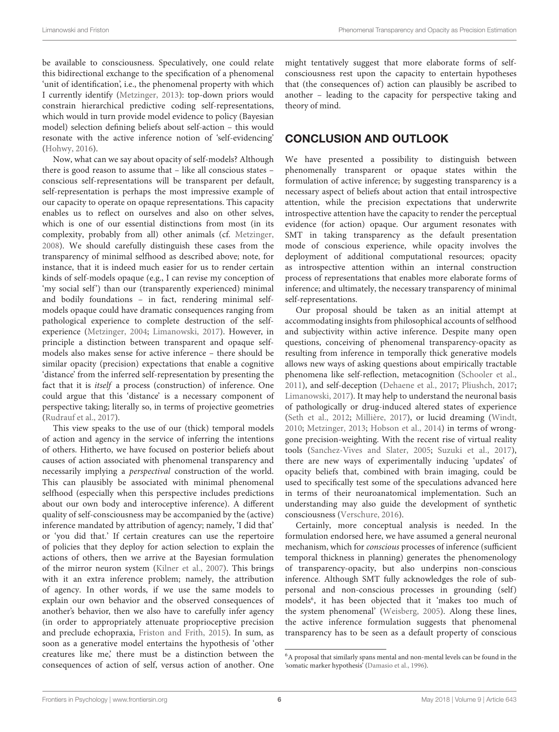be available to consciousness. Speculatively, one could relate this bidirectional exchange to the specification of a phenomenal 'unit of identification', i.e., the phenomenal property with which I currently identify [\(Metzinger,](#page-7-4) [2013\)](#page-7-4): top-down priors would constrain hierarchical predictive coding self-representations, which would in turn provide model evidence to policy (Bayesian model) selection defining beliefs about self-action – this would resonate with the active inference notion of 'self-evidencing' [\(Hohwy,](#page-7-14) [2016\)](#page-7-14).

Now, what can we say about opacity of self-models? Although there is good reason to assume that – like all conscious states – conscious self-representations will be transparent per default, self-representation is perhaps the most impressive example of our capacity to operate on opaque representations. This capacity enables us to reflect on ourselves and also on other selves, which is one of our essential distinctions from most (in its complexity, probably from all) other animals (cf. [Metzinger,](#page-7-3) [2008\)](#page-7-3). We should carefully distinguish these cases from the transparency of minimal selfhood as described above; note, for instance, that it is indeed much easier for us to render certain kinds of self-models opaque (e.g., I can revise my conception of 'my social self') than our (transparently experienced) minimal and bodily foundations – in fact, rendering minimal selfmodels opaque could have dramatic consequences ranging from pathological experience to complete destruction of the selfexperience [\(Metzinger,](#page-7-1) [2004;](#page-7-1) [Limanowski,](#page-7-28) [2017\)](#page-7-28). However, in principle a distinction between transparent and opaque selfmodels also makes sense for active inference – there should be similar opacity (precision) expectations that enable a cognitive 'distance' from the inferred self-representation by presenting the fact that it is itself a process (construction) of inference. One could argue that this 'distance' is a necessary component of perspective taking; literally so, in terms of projective geometries [\(Rudrauf et al.,](#page-7-43) [2017\)](#page-7-43).

This view speaks to the use of our (thick) temporal models of action and agency in the service of inferring the intentions of others. Hitherto, we have focused on posterior beliefs about causes of action associated with phenomenal transparency and necessarily implying a perspectival construction of the world. This can plausibly be associated with minimal phenomenal selfhood (especially when this perspective includes predictions about our own body and interoceptive inference). A different quality of self-consciousness may be accompanied by the (active) inference mandated by attribution of agency; namely, 'I did that' or 'you did that.' If certain creatures can use the repertoire of policies that they deploy for action selection to explain the actions of others, then we arrive at the Bayesian formulation of the mirror neuron system [\(Kilner et al.,](#page-7-44) [2007\)](#page-7-44). This brings with it an extra inference problem; namely, the attribution of agency. In other words, if we use the same models to explain our own behavior and the observed consequences of another's behavior, then we also have to carefully infer agency (in order to appropriately attenuate proprioceptive precision and preclude echopraxia, [Friston and Frith,](#page-6-24) [2015\)](#page-6-24). In sum, as soon as a generative model entertains the hypothesis of 'other creatures like me,' there must be a distinction between the consequences of action of self, versus action of another. One

might tentatively suggest that more elaborate forms of selfconsciousness rest upon the capacity to entertain hypotheses that (the consequences of) action can plausibly be ascribed to another – leading to the capacity for perspective taking and theory of mind.

# CONCLUSION AND OUTLOOK

We have presented a possibility to distinguish between phenomenally transparent or opaque states within the formulation of active inference; by suggesting transparency is a necessary aspect of beliefs about action that entail introspective attention, while the precision expectations that underwrite introspective attention have the capacity to render the perceptual evidence (for action) opaque. Our argument resonates with SMT in taking transparency as the default presentation mode of conscious experience, while opacity involves the deployment of additional computational resources; opacity as introspective attention within an internal construction process of representations that enables more elaborate forms of inference; and ultimately, the necessary transparency of minimal self-representations.

Our proposal should be taken as an initial attempt at accommodating insights from philosophical accounts of selfhood and subjectivity within active inference. Despite many open questions, conceiving of phenomenal transparency-opacity as resulting from inference in temporally thick generative models allows new ways of asking questions about empirically tractable phenomena like self-reflection, metacognition [\(Schooler et al.,](#page-7-27) [2011\)](#page-7-27), and self-deception [\(Dehaene et al.,](#page-6-23) [2017;](#page-6-23) [Pliushch,](#page-7-45) [2017;](#page-7-45) [Limanowski,](#page-7-28) [2017\)](#page-7-28). It may help to understand the neuronal basis of pathologically or drug-induced altered states of experience [\(Seth et al.,](#page-7-29) [2012;](#page-7-29) [Millière,](#page-7-30) [2017\)](#page-7-30), or lucid dreaming [\(Windt,](#page-8-5) [2010;](#page-8-5) [Metzinger,](#page-7-4) [2013;](#page-7-4) [Hobson et al.,](#page-7-42) [2014\)](#page-7-42) in terms of wronggone precision-weighting. With the recent rise of virtual reality tools [\(Sanchez-Vives and Slater,](#page-7-46) [2005;](#page-7-46) [Suzuki et al.,](#page-7-47) [2017\)](#page-7-47), there are new ways of experimentally inducing 'updates' of opacity beliefs that, combined with brain imaging, could be used to specifically test some of the speculations advanced here in terms of their neuroanatomical implementation. Such an understanding may also guide the development of synthetic consciousness [\(Verschure,](#page-8-3) [2016\)](#page-8-3).

Certainly, more conceptual analysis is needed. In the formulation endorsed here, we have assumed a general neuronal mechanism, which for conscious processes of inference (sufficient temporal thickness in planning) generates the phenomenology of transparency-opacity, but also underpins non-conscious inference. Although SMT fully acknowledges the role of subpersonal and non-conscious processes in grounding (self) models<sup>[6](#page-5-0)</sup>, it has been objected that it 'makes too much of the system phenomenal' [\(Weisberg,](#page-8-1) [2005\)](#page-8-1). Along these lines, the active inference formulation suggests that phenomenal transparency has to be seen as a default property of conscious

<span id="page-5-0"></span><sup>6</sup>A proposal that similarly spans mental and non-mental levels can be found in the 'somatic marker hypothesis' [\(Damasio et al.,](#page-6-20) [1996\)](#page-6-20).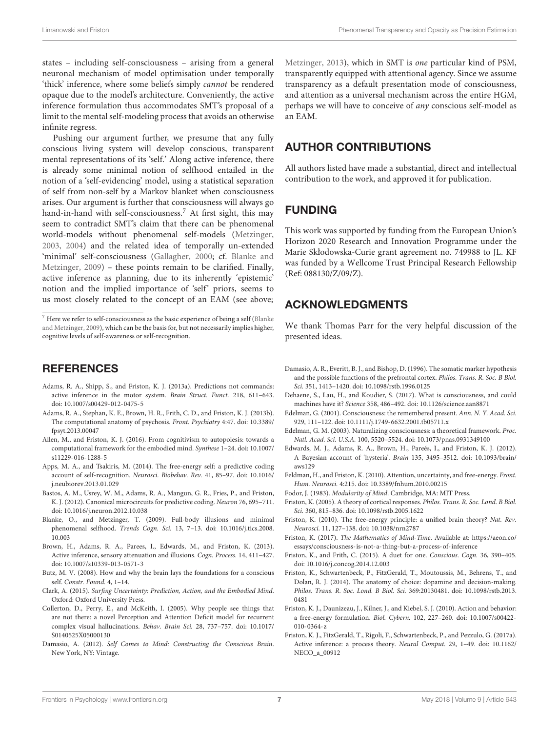states – including self-consciousness – arising from a general neuronal mechanism of model optimisation under temporally 'thick' inference, where some beliefs simply cannot be rendered opaque due to the model's architecture. Conveniently, the active inference formulation thus accommodates SMT's proposal of a limit to the mental self-modeling process that avoids an otherwise infinite regress.

Pushing our argument further, we presume that any fully conscious living system will develop conscious, transparent mental representations of its 'self.' Along active inference, there is already some minimal notion of selfhood entailed in the notion of a 'self-evidencing' model, using a statistical separation of self from non-self by a Markov blanket when consciousness arises. Our argument is further that consciousness will always go hand-in-hand with self-consciousness.<sup>7</sup> At first sight, this may seem to contradict SMT's claim that there can be phenomenal world-models without phenomenal self-models [\(Metzinger,](#page-7-0) [2003,](#page-7-0) [2004\)](#page-7-1) and the related idea of temporally un-extended 'minimal' self-consciousness [\(Gallagher,](#page-7-38) [2000;](#page-7-38) cf. [Blanke and](#page-6-1) [Metzinger,](#page-6-1) [2009\)](#page-6-1) – these points remain to be clarified. Finally, active inference as planning, due to its inherently 'epistemic' notion and the implied importance of 'self' priors, seems to us most closely related to the concept of an EAM (see above;

## **REFERENCES**

- <span id="page-6-8"></span>Adams, R. A., Shipp, S., and Friston, K. J. (2013a). Predictions not commands: active inference in the motor system. Brain Struct. Funct. 218, 611–643. [doi: 10.1007/s00429-012-0475-5](https://doi.org/10.1007/s00429-012-0475-5)
- <span id="page-6-14"></span>Adams, R. A., Stephan, K. E., Brown, H. R., Frith, C. D., and Friston, K. J. (2013b). The computational anatomy of psychosis. Front. Psychiatry 4:47. [doi: 10.3389/](https://doi.org/10.3389/fpsyt.2013.00047) [fpsyt.2013.00047](https://doi.org/10.3389/fpsyt.2013.00047)
- <span id="page-6-16"></span>Allen, M., and Friston, K. J. (2016). From cognitivism to autopoiesis: towards a computational framework for the embodied mind. Synthese 1–24. [doi: 10.1007/](https://doi.org/10.1007/s11229-016-1288-5) [s11229-016-1288-5](https://doi.org/10.1007/s11229-016-1288-5)
- <span id="page-6-15"></span>Apps, M. A., and Tsakiris, M. (2014). The free-energy self: a predictive coding account of self-recognition. Neurosci. Biobehav. Rev. 41, 85–97. [doi: 10.1016/](https://doi.org/10.1016/j.neubiorev.2013.01.029) [j.neubiorev.2013.01.029](https://doi.org/10.1016/j.neubiorev.2013.01.029)
- <span id="page-6-5"></span>Bastos, A. M., Usrey, W. M., Adams, R. A., Mangun, G. R., Fries, P., and Friston, K. J. (2012). Canonical microcircuits for predictive coding. Neuron 76, 695–711. [doi: 10.1016/j.neuron.2012.10.038](https://doi.org/10.1016/j.neuron.2012.10.038)
- <span id="page-6-1"></span>Blanke, O., and Metzinger, T. (2009). Full-body illusions and minimal phenomenal selfhood. Trends Cogn. Sci. 13, 7–13. [doi: 10.1016/j.tics.2008.](https://doi.org/10.1016/j.tics.2008.10.003) [10.003](https://doi.org/10.1016/j.tics.2008.10.003)
- <span id="page-6-9"></span>Brown, H., Adams, R. A., Parees, I., Edwards, M., and Friston, K. (2013). Active inference, sensory attenuation and illusions. Cogn. Process. 14, 411–427. [doi: 10.1007/s10339-013-0571-3](https://doi.org/10.1007/s10339-013-0571-3)
- <span id="page-6-17"></span>Butz, M. V. (2008). How and why the brain lays the foundations for a conscious self. Constr. Found. 4, 1–14.
- <span id="page-6-3"></span>Clark, A. (2015). Surfing Uncertainty: Prediction, Action, and the Embodied Mind. Oxford: Oxford University Press.
- <span id="page-6-12"></span>Collerton, D., Perry, E., and McKeith, I. (2005). Why people see things that are not there: a novel Perception and Attention Deficit model for recurrent complex visual hallucinations. Behav. Brain Sci. 28, 737–757. [doi: 10.1017/](https://doi.org/10.1017/S0140525X05000130) [S0140525X05000130](https://doi.org/10.1017/S0140525X05000130)
- <span id="page-6-22"></span>Damasio, A. (2012). Self Comes to Mind: Constructing the Conscious Brain. New York, NY: Vintage.

[Metzinger,](#page-7-4) [2013\)](#page-7-4), which in SMT is one particular kind of PSM, transparently equipped with attentional agency. Since we assume transparency as a default presentation mode of consciousness, and attention as a universal mechanism across the entire HGM, perhaps we will have to conceive of any conscious self-model as an EAM.

# AUTHOR CONTRIBUTIONS

All authors listed have made a substantial, direct and intellectual contribution to the work, and approved it for publication.

# FUNDING

This work was supported by funding from the European Union's Horizon 2020 Research and Innovation Programme under the Marie Skłodowska-Curie grant agreement no. 749988 to JL. KF was funded by a Wellcome Trust Principal Research Fellowship (Ref: 088130/Z/09/Z).

## ACKNOWLEDGMENTS

We thank Thomas Parr for the very helpful discussion of the presented ideas.

- <span id="page-6-20"></span>Damasio, A. R., Everitt, B. J., and Bishop, D. (1996). The somatic marker hypothesis and the possible functions of the prefrontal cortex. Philos. Trans. R. Soc. B Biol. Sci. 351, 1413–1420. [doi: 10.1098/rstb.1996.0125](https://doi.org/10.1098/rstb.1996.0125)
- <span id="page-6-23"></span>Dehaene, S., Lau, H., and Koudier, S. (2017). What is consciousness, and could machines have it? Science 358, 486–492. [doi: 10.1126/science.aan8871](https://doi.org/10.1126/science.aan8871)
- <span id="page-6-18"></span>Edelman, G. (2001). Consciousness: the remembered present. Ann. N. Y. Acad. Sci. 929, 111–122. [doi: 10.1111/j.1749-6632.2001.tb05711.x](https://doi.org/10.1111/j.1749-6632.2001.tb05711.x)
- <span id="page-6-21"></span>Edelman, G. M. (2003). Naturalizing consciousness: a theoretical framework. Proc. Natl. Acad. Sci. U.S.A. 100, 5520–5524. [doi: 10.1073/pnas.0931349100](https://doi.org/10.1073/pnas.0931349100)
- <span id="page-6-13"></span>Edwards, M. J., Adams, R. A., Brown, H., Pareés, I., and Friston, K. J. (2012). A Bayesian account of 'hysteria'. Brain 135, 3495–3512. [doi: 10.1093/brain/](https://doi.org/10.1093/brain/aws129) [aws129](https://doi.org/10.1093/brain/aws129)
- <span id="page-6-6"></span>Feldman, H., and Friston, K. (2010). Attention, uncertainty, and free-energy. Front. Hum. Neurosci. 4:215. [doi: 10.3389/fnhum.2010.00215](https://doi.org/10.3389/fnhum.2010.00215)
- <span id="page-6-0"></span>Fodor, J. (1983). Modularity of Mind. Cambridge, MA: MIT Press.
- <span id="page-6-11"></span>Friston, K. (2005). A theory of cortical responses. Philos. Trans. R. Soc. Lond. B Biol. Sci. 360, 815–836. [doi: 10.1098/rstb.2005.1622](https://doi.org/10.1098/rstb.2005.1622)
- <span id="page-6-2"></span>Friston, K. (2010). The free-energy principle: a unified brain theory? Nat. Rev. Neurosci. 11, 127–138. [doi: 10.1038/nrn2787](https://doi.org/10.1038/nrn2787)
- <span id="page-6-19"></span>Friston, K. (2017). The Mathematics of Mind-Time. Available at: [https://aeon.co/](https://aeon.co/essays/consciousness-is-not-a-thing-but-a-process-of-inference) [essays/consciousness-is-not-a-thing-but-a-process-of-inference](https://aeon.co/essays/consciousness-is-not-a-thing-but-a-process-of-inference)
- <span id="page-6-24"></span>Friston, K., and Frith, C. (2015). A duet for one. Conscious. Cogn. 36, 390–405. [doi: 10.1016/j.concog.2014.12.003](https://doi.org/10.1016/j.concog.2014.12.003)
- <span id="page-6-10"></span>Friston, K., Schwartenbeck, P., FitzGerald, T., Moutoussis, M., Behrens, T., and Dolan, R. J. (2014). The anatomy of choice: dopamine and decision-making. Philos. Trans. R. Soc. Lond. B Biol. Sci. 369:20130481. [doi: 10.1098/rstb.2013.](https://doi.org/10.1098/rstb.2013.0481) [0481](https://doi.org/10.1098/rstb.2013.0481)
- <span id="page-6-7"></span>Friston, K. J., Daunizeau, J., Kilner, J., and Kiebel, S. J. (2010). Action and behavior: a free-energy formulation. Biol. Cybern. 102, 227–260. [doi: 10.1007/s00422-](https://doi.org/10.1007/s00422-010-0364-z) [010-0364-z](https://doi.org/10.1007/s00422-010-0364-z)
- <span id="page-6-4"></span>Friston, K. J., FitzGerald, T., Rigoli, F., Schwartenbeck, P., and Pezzulo, G. (2017a). Active inference: a process theory. Neural Comput. 29, 1–49. [doi: 10.1162/](https://doi.org/10.1162/NECO_a_00912) [NECO\\_a\\_00912](https://doi.org/10.1162/NECO_a_00912)

 $^7$  Here we refer to self-consciousness as the basic experience of being a self [\(Blanke](#page-6-1) [and Metzinger,](#page-6-1) [2009\)](#page-6-1), which can be the basis for, but not necessarily implies higher, cognitive levels of self-awareness or self-recognition.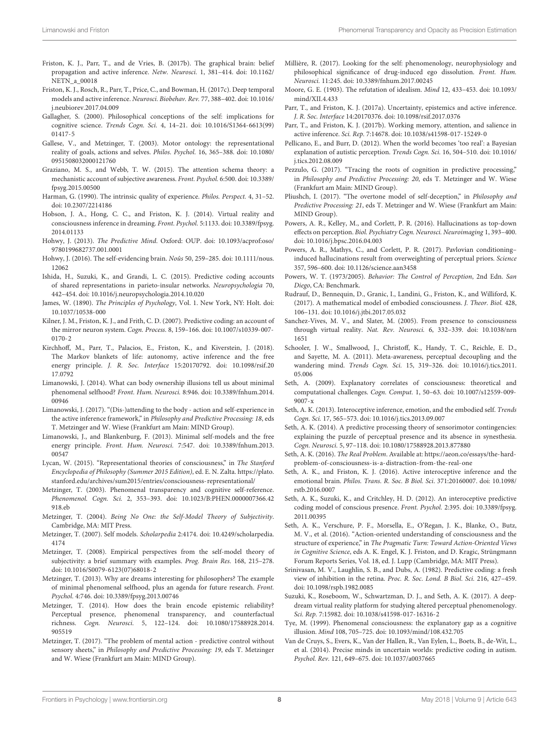- <span id="page-7-16"></span>Friston, K. J., Parr, T., and de Vries, B. (2017b). The graphical brain: belief propagation and active inference. Netw. Neurosci. 1, 381–414. [doi: 10.1162/](https://doi.org/10.1162/NETN_a_00018) [NETN\\_a\\_00018](https://doi.org/10.1162/NETN_a_00018)
- <span id="page-7-17"></span>Friston, K. J., Rosch, R., Parr, T., Price, C., and Bowman, H. (2017c). Deep temporal models and active inference. Neurosci. Biobehav. Rev. 77, 388–402. [doi: 10.1016/](https://doi.org/10.1016/j.neubiorev.2017.04.009) [j.neubiorev.2017.04.009](https://doi.org/10.1016/j.neubiorev.2017.04.009)
- <span id="page-7-38"></span>Gallagher, S. (2000). Philosophical conceptions of the self: implications for cognitive science. Trends Cogn. Sci. 4, 14–21. [doi: 10.1016/S1364-6613\(99\)](https://doi.org/10.1016/S1364-6613(99)01417-5) [01417-5](https://doi.org/10.1016/S1364-6613(99)01417-5)
- <span id="page-7-39"></span>Gallese, V., and Metzinger, T. (2003). Motor ontology: the representational reality of goals, actions and selves. Philos. Psychol. 16, 365–388. [doi: 10.1080/](https://doi.org/10.1080/0951508032000121760) [0951508032000121760](https://doi.org/10.1080/0951508032000121760)
- <span id="page-7-12"></span>Graziano, M. S., and Webb, T. W. (2015). The attention schema theory: a mechanistic account of subjective awareness. Front. Psychol. 6:500. [doi: 10.3389/](https://doi.org/10.3389/fpsyg.2015.00500) [fpsyg.2015.00500](https://doi.org/10.3389/fpsyg.2015.00500)
- <span id="page-7-9"></span>Harman, G. (1990). The intrinsic quality of experience. Philos. Perspect. 4, 31–52. [doi: 10.2307/2214186](https://doi.org/10.2307/2214186)
- <span id="page-7-42"></span>Hobson, J. A., Hong, C. C., and Friston, K. J. (2014). Virtual reality and consciousness inference in dreaming. Front. Psychol. 5:1133. [doi: 10.3389/fpsyg.](https://doi.org/10.3389/fpsyg.2014.01133) [2014.01133](https://doi.org/10.3389/fpsyg.2014.01133)
- <span id="page-7-13"></span>Hohwy, J. (2013). The Predictive Mind. Oxford: OUP. [doi: 10.1093/acprof:oso/](https://doi.org/10.1093/acprof:oso/9780199682737.001.0001) [9780199682737.001.0001](https://doi.org/10.1093/acprof:oso/9780199682737.001.0001)
- <span id="page-7-14"></span>Hohwy, J. (2016). The self-evidencing brain. Noûs 50, 259–285. [doi: 10.1111/nous.](https://doi.org/10.1111/nous.12062) [12062](https://doi.org/10.1111/nous.12062)
- <span id="page-7-37"></span>Ishida, H., Suzuki, K., and Grandi, L. C. (2015). Predictive coding accounts of shared representations in parieto-insular networks. Neuropsychologia 70, 442–454. [doi: 10.1016/j.neuropsychologia.2014.10.020](https://doi.org/10.1016/j.neuropsychologia.2014.10.020)
- <span id="page-7-40"></span>James, W. (1890). The Principles of Psychology, Vol. 1. New York, NY: Holt. [doi:](https://doi.org/10.1037/10538-000) [10.1037/10538-000](https://doi.org/10.1037/10538-000)
- <span id="page-7-44"></span>Kilner, J. M., Friston, K. J., and Frith, C. D. (2007). Predictive coding: an account of the mirror neuron system. Cogn. Process. 8, 159–166. [doi: 10.1007/s10339-007-](https://doi.org/10.1007/s10339-007-0170-2) [0170-2](https://doi.org/10.1007/s10339-007-0170-2)
- <span id="page-7-15"></span>Kirchhoff, M., Parr, T., Palacios, E., Friston, K., and Kiverstein, J. (2018). The Markov blankets of life: autonomy, active inference and the free energy principle. J. R. Soc. Interface 15:20170792. [doi: 10.1098/rsif.20](https://doi.org/10.1098/rsif.2017.0792) [17.0792](https://doi.org/10.1098/rsif.2017.0792)
- <span id="page-7-36"></span>Limanowski, J. (2014). What can body ownership illusions tell us about minimal phenomenal selfhood? Front. Hum. Neurosci. 8:946. [doi: 10.3389/fnhum.2014.](https://doi.org/10.3389/fnhum.2014.00946) [00946](https://doi.org/10.3389/fnhum.2014.00946)
- <span id="page-7-28"></span>Limanowski, J. (2017). "(Dis-)attending to the body - action and self-experience in the active inference framework," in Philosophy and Predictive Processing: 18, eds T. Metzinger and W. Wiese (Frankfurt am Main: MIND Group).
- <span id="page-7-7"></span>Limanowski, J., and Blankenburg, F. (2013). Minimal self-models and the free energy principle. Front. Hum. Neurosci. 7:547. [doi: 10.3389/fnhum.2013.](https://doi.org/10.3389/fnhum.2013.00547) [00547](https://doi.org/10.3389/fnhum.2013.00547)
- <span id="page-7-11"></span>Lycan, W. (2015). "Representational theories of consciousness," in The Stanford Encyclopedia of Philosophy (Summer 2015 Edition), ed. E. N. Zalta. [https://plato.](https://plato.stanford.edu/archives/sum2015/entries/consciousness-representational/) [stanford.edu/archives/sum2015/entries/consciousness-representational/](https://plato.stanford.edu/archives/sum2015/entries/consciousness-representational/)
- <span id="page-7-0"></span>Metzinger, T. (2003). Phenomenal transparency and cognitive self-reference. Phenomenol. Cogn. Sci. 2, 353–393. [doi: 10.1023/B:PHEN.0000007366.42](https://doi.org/10.1023/B:PHEN.0000007366.42918.eb) [918.eb](https://doi.org/10.1023/B:PHEN.0000007366.42918.eb)
- <span id="page-7-1"></span>Metzinger, T. (2004). Being No One: the Self-Model Theory of Subjectivity. Cambridge, MA: MIT Press.
- <span id="page-7-2"></span>Metzinger, T. (2007). Self models. Scholarpedia 2:4174. [doi: 10.4249/scholarpedia.](https://doi.org/10.4249/scholarpedia.4174) [4174](https://doi.org/10.4249/scholarpedia.4174)
- <span id="page-7-3"></span>Metzinger, T. (2008). Empirical perspectives from the self-model theory of subjectivity: a brief summary with examples. Prog. Brain Res. 168, 215–278. [doi: 10.1016/S0079-6123\(07\)68018-2](https://doi.org/10.1016/S0079-6123(07)68018-2)
- <span id="page-7-4"></span>Metzinger, T. (2013). Why are dreams interesting for philosophers? The example of minimal phenomenal selfhood, plus an agenda for future research. Front. Psychol. 4:746. [doi: 10.3389/fpsyg.2013.00746](https://doi.org/10.3389/fpsyg.2013.00746)
- <span id="page-7-5"></span>Metzinger, T. (2014). How does the brain encode epistemic reliability? Perceptual presence, phenomenal transparency, and counterfactual richness. Cogn. Neurosci. 5, 122–124. [doi: 10.1080/17588928.2014.](https://doi.org/10.1080/17588928.2014.905519) [905519](https://doi.org/10.1080/17588928.2014.905519)
- <span id="page-7-6"></span>Metzinger, T. (2017). "The problem of mental action - predictive control without sensory sheets," in Philosophy and Predictive Processing: 19, eds T. Metzinger and W. Wiese (Frankfurt am Main: MIND Group).
- <span id="page-7-30"></span>Millière, R. (2017). Looking for the self: phenomenology, neurophysiology and philosophical significance of drug-induced ego dissolution. Front. Hum. Neurosci. 11:245. [doi: 10.3389/fnhum.2017.00245](https://doi.org/10.3389/fnhum.2017.00245)
- <span id="page-7-8"></span>Moore, G. E. (1903). The refutation of idealism. Mind 12, 433–453. [doi: 10.1093/](https://doi.org/10.1093/mind/XII.4.433) [mind/XII.4.433](https://doi.org/10.1093/mind/XII.4.433)
- <span id="page-7-18"></span>Parr, T., and Friston, K. J. (2017a). Uncertainty, epistemics and active inference. J. R. Soc. Interface 14:20170376. [doi: 10.1098/rsif.2017.0376](https://doi.org/10.1098/rsif.2017.0376)
- <span id="page-7-19"></span>Parr, T., and Friston, K. J. (2017b). Working memory, attention, and salience in active inference. Sci. Rep. 7:14678. [doi: 10.1038/s41598-017-15249-0](https://doi.org/10.1038/s41598-017-15249-0)
- <span id="page-7-31"></span>Pellicano, E., and Burr, D. (2012). When the world becomes 'too real': a Bayesian explanation of autistic perception. Trends Cogn. Sci. 16, 504–510. [doi: 10.1016/](https://doi.org/10.1016/j.tics.2012.08.009) [j.tics.2012.08.009](https://doi.org/10.1016/j.tics.2012.08.009)
- <span id="page-7-25"></span>Pezzulo, G. (2017). "Tracing the roots of cognition in predictive processing," in Philosophy and Predictive Processing: 20, eds T. Metzinger and W. Wiese (Frankfurt am Main: MIND Group).
- <span id="page-7-45"></span>Pliushch, I. (2017). "The overtone model of self-deception," in Philosophy and Predictive Processing: 21, eds T. Metzinger and W. Wiese (Frankfurt am Main: MIND Group).
- <span id="page-7-33"></span>Powers, A. R., Kelley, M., and Corlett, P. R. (2016). Hallucinations as top-down effects on perception. Biol. Psychiatry Cogn. Neurosci. Neuroimaging 1, 393–400. [doi: 10.1016/j.bpsc.2016.04.003](https://doi.org/10.1016/j.bpsc.2016.04.003)
- <span id="page-7-34"></span>Powers, A. R., Mathys, C., and Corlett, P. R. (2017). Pavlovian conditioning– induced hallucinations result from overweighting of perceptual priors. Science 357, 596–600. [doi: 10.1126/science.aan3458](https://doi.org/10.1126/science.aan3458)
- <span id="page-7-26"></span>Powers, W. T. (1973/2005). Behavior: The Control of Perception, 2nd Edn. San Diego, CA: Benchmark.
- <span id="page-7-43"></span>Rudrauf, D., Bennequin, D., Granic, I., Landini, G., Friston, K., and Williford, K. (2017). A mathematical model of embodied consciousness. J. Theor. Biol. 428, 106–131. [doi: 10.1016/j.jtbi.2017.05.032](https://doi.org/10.1016/j.jtbi.2017.05.032)
- <span id="page-7-46"></span>Sanchez-Vives, M. V., and Slater, M. (2005). From presence to consciousness through virtual reality. Nat. Rev. Neurosci. 6, 332–339. [doi: 10.1038/nrn](https://doi.org/10.1038/nrn1651) [1651](https://doi.org/10.1038/nrn1651)
- <span id="page-7-27"></span>Schooler, J. W., Smallwood, J., Christoff, K., Handy, T. C., Reichle, E. D., and Sayette, M. A. (2011). Meta-awareness, perceptual decoupling and the wandering mind. Trends Cogn. Sci. 15, 319–326. [doi: 10.1016/j.tics.2011.](https://doi.org/10.1016/j.tics.2011.05.006) [05.006](https://doi.org/10.1016/j.tics.2011.05.006)
- <span id="page-7-41"></span>Seth, A. (2009). Explanatory correlates of consciousness: theoretical and computational challenges. Cogn. Comput. 1, 50–63. [doi: 10.1007/s12559-009-](https://doi.org/10.1007/s12559-009-9007-x) [9007-x](https://doi.org/10.1007/s12559-009-9007-x)
- <span id="page-7-35"></span>Seth, A. K. (2013). Interoceptive inference, emotion, and the embodied self. Trends Cogn. Sci. 17, 565–573. [doi: 10.1016/j.tics.2013.09.007](https://doi.org/10.1016/j.tics.2013.09.007)
- <span id="page-7-24"></span>Seth, A. K. (2014). A predictive processing theory of sensorimotor contingencies: explaining the puzzle of perceptual presence and its absence in synesthesia. Cogn. Neurosci. 5, 97–118. [doi: 10.1080/17588928.2013.877880](https://doi.org/10.1080/17588928.2013.877880)
- <span id="page-7-21"></span>Seth, A. K. (2016). The Real Problem. Available at: [https://aeon.co/essays/the-hard](https://aeon.co/essays/the-hard-problem-of-consciousness-is-a-distraction-from-the-real-one)[problem-of-consciousness-is-a-distraction-from-the-real-one](https://aeon.co/essays/the-hard-problem-of-consciousness-is-a-distraction-from-the-real-one)
- <span id="page-7-23"></span>Seth, A. K., and Friston, K. J. (2016). Active interoceptive inference and the emotional brain. Philos. Trans. R. Soc. B Biol. Sci. 371:20160007. [doi: 10.1098/](https://doi.org/10.1098/rstb.2016.0007) [rstb.2016.0007](https://doi.org/10.1098/rstb.2016.0007)
- <span id="page-7-29"></span>Seth, A. K., Suzuki, K., and Critchley, H. D. (2012). An interoceptive predictive coding model of conscious presence. Front. Psychol. 2:395. [doi: 10.3389/fpsyg.](https://doi.org/10.3389/fpsyg.2011.00395) [2011.00395](https://doi.org/10.3389/fpsyg.2011.00395)
- <span id="page-7-22"></span>Seth, A. K., Verschure, P. F., Morsella, E., O'Regan, J. K., Blanke, O., Butz, M. V., et al. (2016). "Action-oriented understanding of consciousness and the structure of experience," in The Pragmatic Turn: Toward Action-Oriented Views in Cognitive Science, eds A. K. Engel, K. J. Friston, and D. Kragic, Strüngmann Forum Reports Series, Vol. 18, ed. J. Lupp (Cambridge, MA: MIT Press).
- <span id="page-7-20"></span>Srinivasan, M. V., Laughlin, S. B., and Dubs, A. (1982). Predictive coding: a fresh view of inhibition in the retina. Proc. R. Soc. Lond. B Biol. Sci. 216, 427–459. [doi: 10.1098/rspb.1982.0085](https://doi.org/10.1098/rspb.1982.0085)
- <span id="page-7-47"></span>Suzuki, K., Roseboom, W., Schwartzman, D. J., and Seth, A. K. (2017). A deepdream virtual reality platform for studying altered perceptual phenomenology. Sci. Rep. 7:15982. [doi: 10.1038/s41598-017-16316-2](https://doi.org/10.1038/s41598-017-16316-2)
- <span id="page-7-10"></span>Tye, M. (1999). Phenomenal consciousness: the explanatory gap as a cognitive illusion. Mind 108, 705–725. [doi: 10.1093/mind/108.432.705](https://doi.org/10.1093/mind/108.432.705)
- <span id="page-7-32"></span>Van de Cruys, S., Evers, K., Van der Hallen, R., Van Eylen, L., Boets, B., de-Wit, L., et al. (2014). Precise minds in uncertain worlds: predictive coding in autism. Psychol. Rev. 121, 649–675. [doi: 10.1037/a0037665](https://doi.org/10.1037/a0037665)